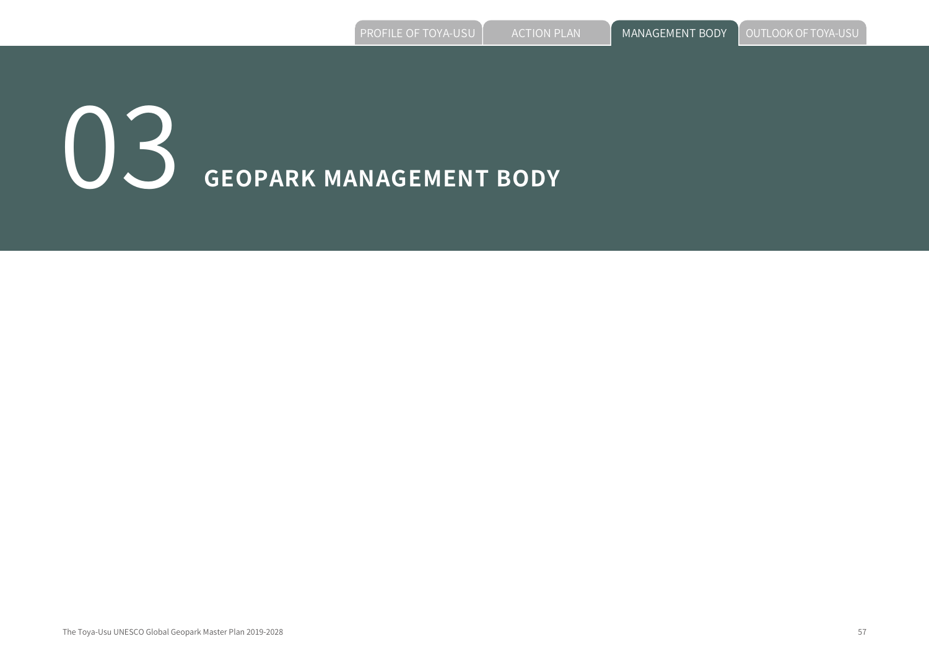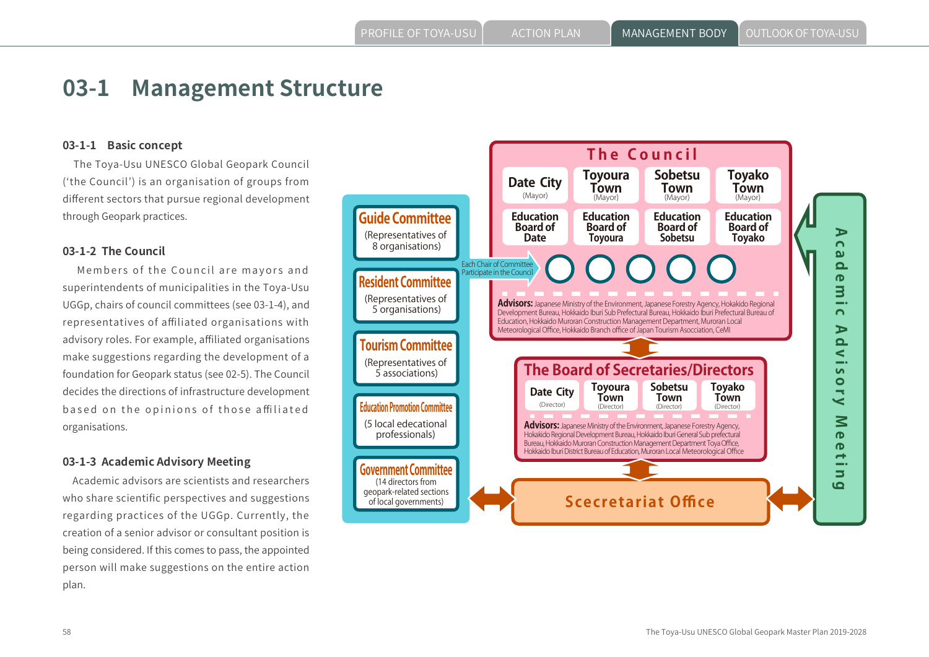# **03-1 Management Structure**

#### **03-1-1 Basic concept**

 The Toya-Usu UNESCO Global Geopark Council ('the Council') is an organisation of groups from different sectors that pursue regional development through Geopark practices.

#### **03-1-2 The Council**

 Members of the Council are mayors and superintendents of municipalities in the Toya-Usu UGGp, chairs of council committees (see 03-1-4), and representatives of affiliated organisations with advisory roles. For example, affiliated organisations make suggestions regarding the development of a foundation for Geopark status (see 02-5). The Council decides the directions of infrastructure development based on the opinions of those affiliated organisations.

#### **03-1-3 Academic Advisory Meeting**

 Academic advisors are scientists and researchers who share scientific perspectives and suggestions regarding practices of the UGGp. Currently, the creation of a senior advisor or consultant position is being considered. If this comes to pass, the appointed person will make suggestions on the entire action plan.

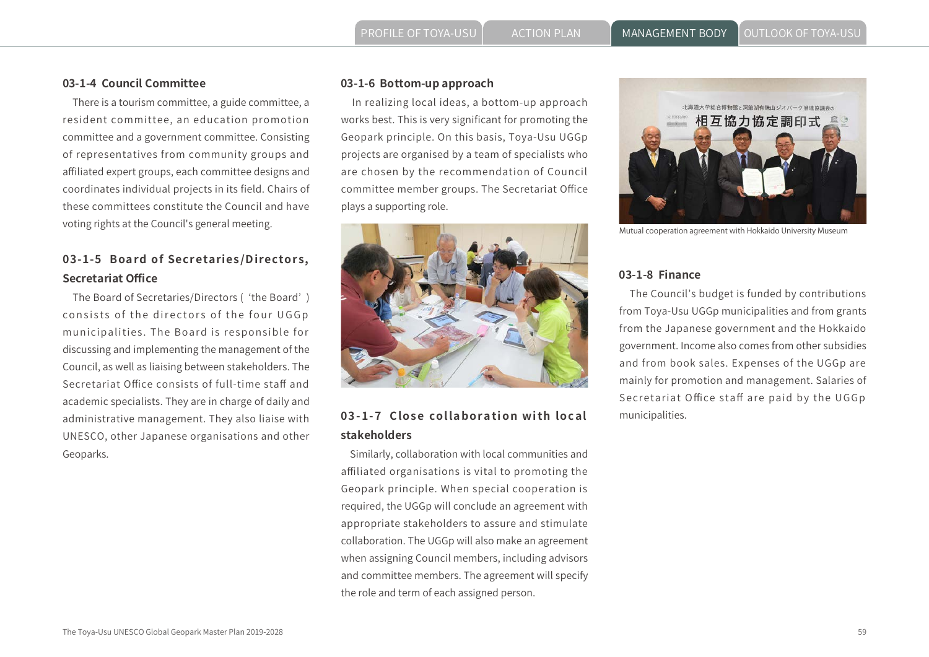## **03-1-4 Council Committee**

 There is a tourism committee, a guide committee, a resident committee, an education promotion committee and a government committee. Consisting of representatives from community groups and affiliated expert groups, each committee designs and coordinates individual projects in its field. Chairs of these committees constitute the Council and have voting rights at the Council's general meeting.

# **03-1-5 Board of Secretaries/Directors, Secretariat Office**

 The Board of Secretaries/Directors ( 'the Board' ) consists of the directors of the four UGGp municipalities. The Board is responsible for discussing and implementing the management of the Council, as well as liaising between stakeholders. The Secretariat Office consists of full-time staff and academic specialists. They are in charge of daily and administrative management. They also liaise with UNESCO, other Japanese organisations and other Geoparks.

#### **03-1-6 Bottom-up approach**

 In realizing local ideas, a bottom-up approach works best. This is very significant for promoting the Geopark principle. On this basis, Toya-Usu UGGp projects are organised by a team of specialists who are chosen by the recommendation of Council committee member groups. The Secretariat Office plays a supporting role.



# **03-1-7 Close collaboration with local stakeholders**

 Similarly, collaboration with local communities and affiliated organisations is vital to promoting the Geopark principle. When special cooperation is required, the UGGp will conclude an agreement with appropriate stakeholders to assure and stimulate collaboration. The UGGp will also make an agreement when assigning Council members, including advisors and committee members. The agreement will specify the role and term of each assigned person.



Mutual cooperation agreement with Hokkaido University Museum

#### **03-1-8 Finance**

 The Council's budget is funded by contributions from Toya-Usu UGGp municipalities and from grants from the Japanese government and the Hokkaido government. Income also comes from other subsidies and from book sales. Expenses of the UGGp are mainly for promotion and management. Salaries of Secretariat Office staff are paid by the UGGp municipalities.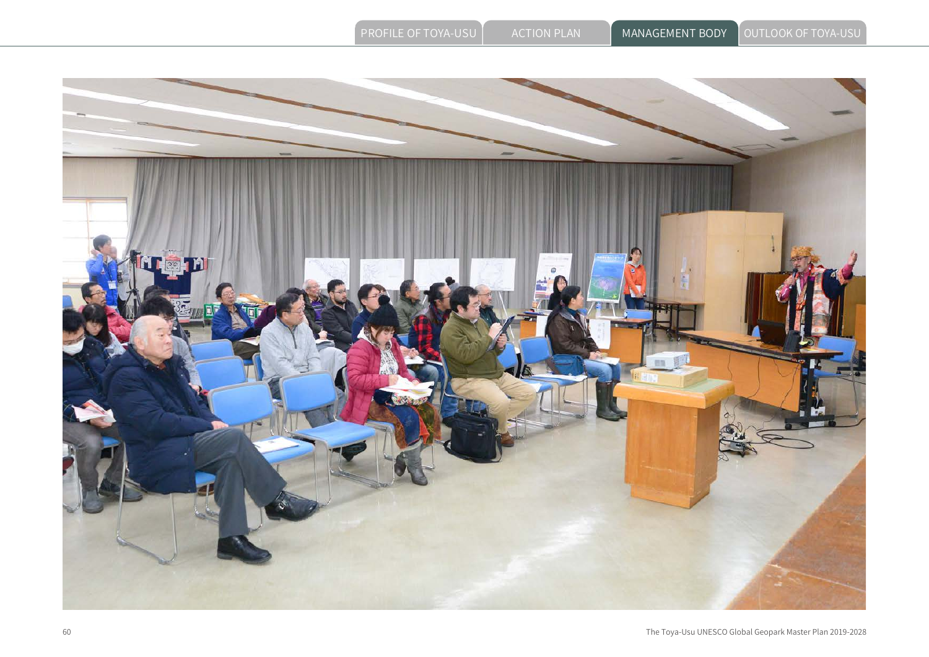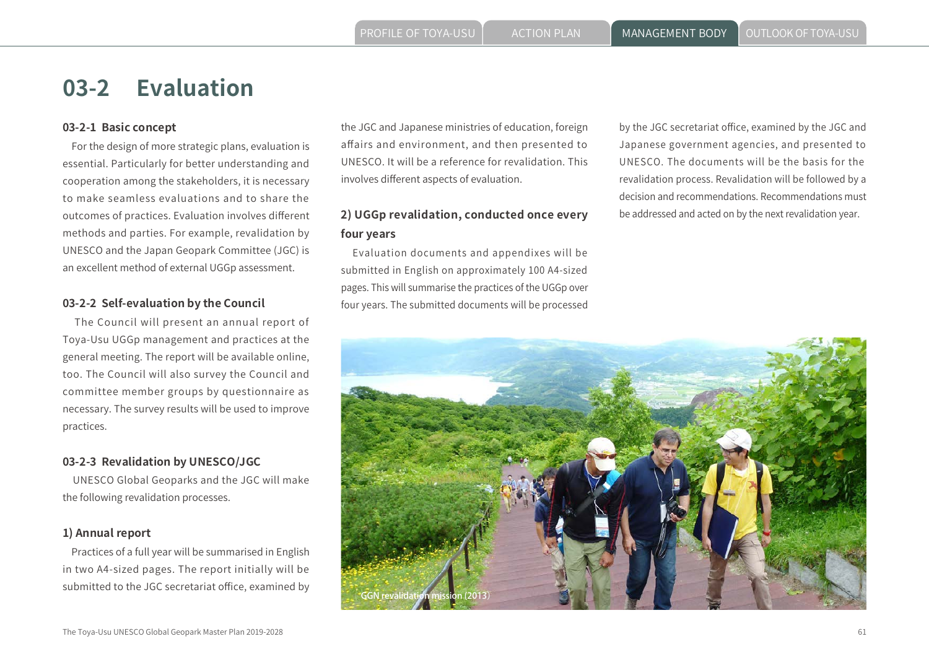# **03-2 Evaluation**

## **03-2-1 Basic concept**

 For the design of more strategic plans, evaluation is essential. Particularly for better understanding and cooperation among the stakeholders, it is necessary to make seamless evaluations and to share the outcomes of practices. Evaluation involves different methods and parties. For example, revalidation by UNESCO and the Japan Geopark Committee (JGC) is an excellent method of external UGGp assessment.

## **03-2-2 Self-evaluation by the Council**

 The Council will present an annual report of Toya-Usu UGGp management and practices at the general meeting. The report will be available online, too. The Council will also survey the Council and committee member groups by questionnaire as necessary. The survey results will be used to improve practices.

### **03-2-3 Revalidation by UNESCO/JGC**

 UNESCO Global Geoparks and the JGC will make the following revalidation processes.

### **1) Annual report**

 Practices of a full year will be summarised in English in two A4-sized pages. The report initially will be submitted to the JGC secretariat office, examined by

the JGC and Japanese ministries of education, foreign affairs and environment, and then presented to UNESCO. It will be a reference for revalidation. This involves different aspects of evaluation.

# **2) UGGp revalidation, conducted once every four years**

 Evaluation documents and appendixes will be submitted in English on approximately 100 A4-sized pages. This will summarise the practices of the UGGp over four years. The submitted documents will be processed

by the JGC secretariat office, examined by the JGC and Japanese government agencies, and presented to UNESCO. The documents will be the basis for the revalidation process. Revalidation will be followed by a decision and recommendations. Recommendations must be addressed and acted on by the next revalidation year.